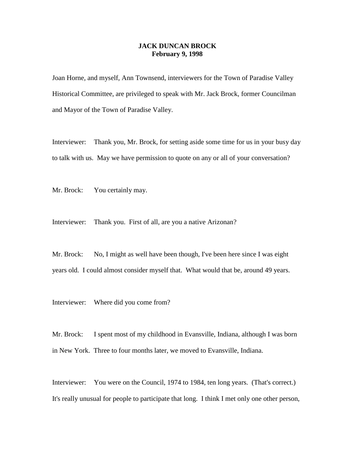## **JACK DUNCAN BROCK February 9, 1998**

Joan Horne, and myself, Ann Townsend, interviewers for the Town of Paradise Valley Historical Committee, are privileged to speak with Mr. Jack Brock, former Councilman and Mayor of the Town of Paradise Valley.

Interviewer: Thank you, Mr. Brock, for setting aside some time for us in your busy day to talk with us. May we have permission to quote on any or all of your conversation?

Mr. Brock: You certainly may.

Interviewer: Thank you. First of all, are you a native Arizonan?

Mr. Brock: No, I might as well have been though, I've been here since I was eight years old. I could almost consider myself that. What would that be, around 49 years.

Interviewer: Where did you come from?

Mr. Brock: I spent most of my childhood in Evansville, Indiana, although I was born in New York. Three to four months later, we moved to Evansville, Indiana.

Interviewer: You were on the Council, 1974 to 1984, ten long years. (That's correct.) It's really unusual for people to participate that long. I think I met only one other person,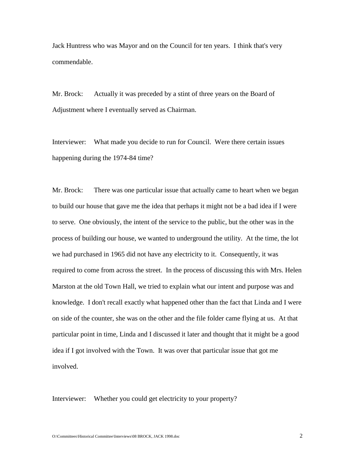Jack Huntress who was Mayor and on the Council for ten years. I think that's very commendable.

Mr. Brock: Actually it was preceded by a stint of three years on the Board of Adjustment where I eventually served as Chairman.

Interviewer: What made you decide to run for Council. Were there certain issues happening during the 1974-84 time?

Mr. Brock: There was one particular issue that actually came to heart when we began to build our house that gave me the idea that perhaps it might not be a bad idea if I were to serve. One obviously, the intent of the service to the public, but the other was in the process of building our house, we wanted to underground the utility. At the time, the lot we had purchased in 1965 did not have any electricity to it. Consequently, it was required to come from across the street. In the process of discussing this with Mrs. Helen Marston at the old Town Hall, we tried to explain what our intent and purpose was and knowledge. I don't recall exactly what happened other than the fact that Linda and I were on side of the counter, she was on the other and the file folder came flying at us. At that particular point in time, Linda and I discussed it later and thought that it might be a good idea if I got involved with the Town. It was over that particular issue that got me involved.

Interviewer: Whether you could get electricity to your property?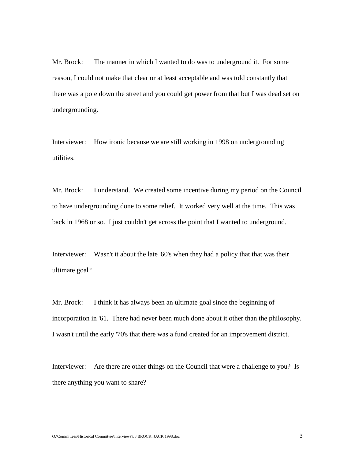Mr. Brock: The manner in which I wanted to do was to underground it. For some reason, I could not make that clear or at least acceptable and was told constantly that there was a pole down the street and you could get power from that but I was dead set on undergrounding.

Interviewer: How ironic because we are still working in 1998 on undergrounding utilities.

Mr. Brock: I understand. We created some incentive during my period on the Council to have undergrounding done to some relief. It worked very well at the time. This was back in 1968 or so. I just couldn't get across the point that I wanted to underground.

Interviewer: Wasn't it about the late '60's when they had a policy that that was their ultimate goal?

Mr. Brock: I think it has always been an ultimate goal since the beginning of incorporation in '61. There had never been much done about it other than the philosophy. I wasn't until the early '70's that there was a fund created for an improvement district.

Interviewer: Are there are other things on the Council that were a challenge to you? Is there anything you want to share?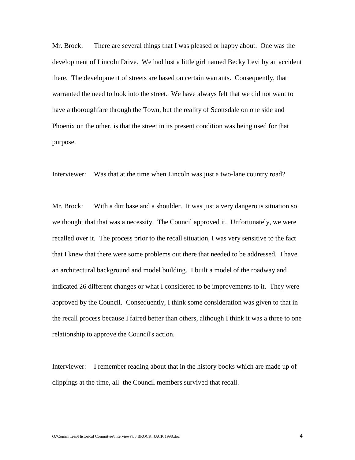Mr. Brock: There are several things that I was pleased or happy about. One was the development of Lincoln Drive. We had lost a little girl named Becky Levi by an accident there. The development of streets are based on certain warrants. Consequently, that warranted the need to look into the street. We have always felt that we did not want to have a thoroughfare through the Town, but the reality of Scottsdale on one side and Phoenix on the other, is that the street in its present condition was being used for that purpose.

Interviewer: Was that at the time when Lincoln was just a two-lane country road?

Mr. Brock: With a dirt base and a shoulder. It was just a very dangerous situation so we thought that that was a necessity. The Council approved it. Unfortunately, we were recalled over it. The process prior to the recall situation, I was very sensitive to the fact that I knew that there were some problems out there that needed to be addressed. I have an architectural background and model building. I built a model of the roadway and indicated 26 different changes or what I considered to be improvements to it. They were approved by the Council. Consequently, I think some consideration was given to that in the recall process because I faired better than others, although I think it was a three to one relationship to approve the Council's action.

Interviewer: I remember reading about that in the history books which are made up of clippings at the time, all the Council members survived that recall.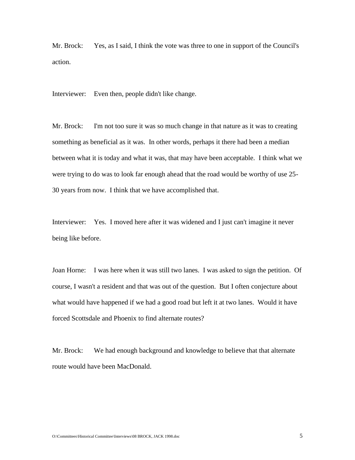Mr. Brock: Yes, as I said, I think the vote was three to one in support of the Council's action.

Interviewer: Even then, people didn't like change.

Mr. Brock: I'm not too sure it was so much change in that nature as it was to creating something as beneficial as it was. In other words, perhaps it there had been a median between what it is today and what it was, that may have been acceptable. I think what we were trying to do was to look far enough ahead that the road would be worthy of use 25- 30 years from now. I think that we have accomplished that.

Interviewer: Yes. I moved here after it was widened and I just can't imagine it never being like before.

Joan Horne: I was here when it was still two lanes. I was asked to sign the petition. Of course, I wasn't a resident and that was out of the question. But I often conjecture about what would have happened if we had a good road but left it at two lanes. Would it have forced Scottsdale and Phoenix to find alternate routes?

Mr. Brock: We had enough background and knowledge to believe that that alternate route would have been MacDonald.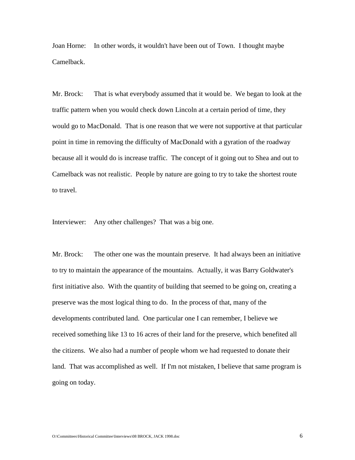Joan Horne: In other words, it wouldn't have been out of Town. I thought maybe Camelback.

Mr. Brock: That is what everybody assumed that it would be. We began to look at the traffic pattern when you would check down Lincoln at a certain period of time, they would go to MacDonald. That is one reason that we were not supportive at that particular point in time in removing the difficulty of MacDonald with a gyration of the roadway because all it would do is increase traffic. The concept of it going out to Shea and out to Camelback was not realistic. People by nature are going to try to take the shortest route to travel.

Interviewer: Any other challenges? That was a big one.

Mr. Brock: The other one was the mountain preserve. It had always been an initiative to try to maintain the appearance of the mountains. Actually, it was Barry Goldwater's first initiative also. With the quantity of building that seemed to be going on, creating a preserve was the most logical thing to do. In the process of that, many of the developments contributed land. One particular one I can remember, I believe we received something like 13 to 16 acres of their land for the preserve, which benefited all the citizens. We also had a number of people whom we had requested to donate their land. That was accomplished as well. If I'm not mistaken, I believe that same program is going on today.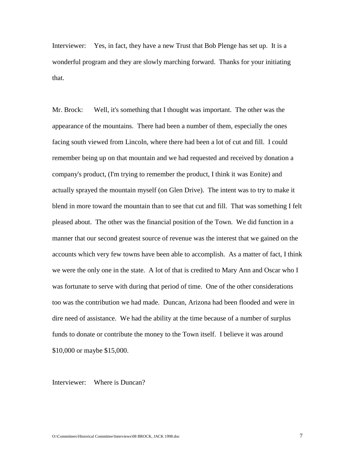Interviewer: Yes, in fact, they have a new Trust that Bob Plenge has set up. It is a wonderful program and they are slowly marching forward. Thanks for your initiating that.

Mr. Brock: Well, it's something that I thought was important. The other was the appearance of the mountains. There had been a number of them, especially the ones facing south viewed from Lincoln, where there had been a lot of cut and fill. I could remember being up on that mountain and we had requested and received by donation a company's product, (I'm trying to remember the product, I think it was Eonite) and actually sprayed the mountain myself (on Glen Drive). The intent was to try to make it blend in more toward the mountain than to see that cut and fill. That was something I felt pleased about. The other was the financial position of the Town. We did function in a manner that our second greatest source of revenue was the interest that we gained on the accounts which very few towns have been able to accomplish. As a matter of fact, I think we were the only one in the state. A lot of that is credited to Mary Ann and Oscar who I was fortunate to serve with during that period of time. One of the other considerations too was the contribution we had made. Duncan, Arizona had been flooded and were in dire need of assistance. We had the ability at the time because of a number of surplus funds to donate or contribute the money to the Town itself. I believe it was around \$10,000 or maybe \$15,000.

Interviewer: Where is Duncan?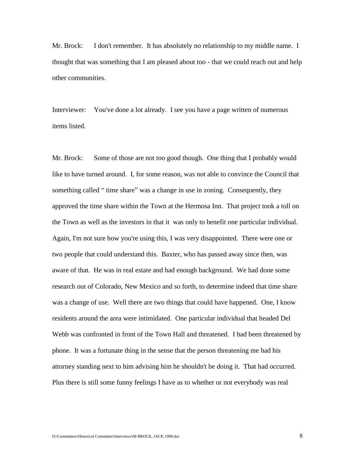Mr. Brock: I don't remember. It has absolutely no relationship to my middle name. I thought that was something that I am pleased about too - that we could reach out and help other communities.

Interviewer: You've done a lot already. I see you have a page written of numerous items listed.

Mr. Brock: Some of those are not too good though. One thing that I probably would like to have turned around. I, for some reason, was not able to convince the Council that something called " time share" was a change in use in zoning. Consequently, they approved the time share within the Town at the Hermosa Inn. That project took a toll on the Town as well as the investors in that it was only to benefit one particular individual. Again, I'm not sure how you're using this, I was very disappointed. There were one or two people that could understand this. Baxter, who has passed away since then, was aware of that. He was in real estate and had enough background. We had done some research out of Colorado, New Mexico and so forth, to determine indeed that time share was a change of use. Well there are two things that could have happened. One, I know residents around the area were intimidated. One particular individual that headed Del Webb was confronted in front of the Town Hall and threatened. I had been threatened by phone. It was a fortunate thing in the sense that the person threatening me had his attorney standing next to him advising him he shouldn't be doing it. That had occurred. Plus there is still some funny feelings I have as to whether or not everybody was real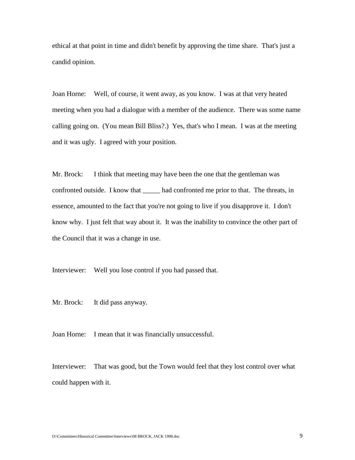ethical at that point in time and didn't benefit by approving the time share. That's just a candid opinion.

Joan Horne: Well, of course, it went away, as you know. I was at that very heated meeting when you had a dialogue with a member of the audience. There was some name calling going on. (You mean Bill Bliss?.) Yes, that's who I mean. I was at the meeting and it was ugly. I agreed with your position.

Mr. Brock: I think that meeting may have been the one that the gentleman was confronted outside. I know that \_\_\_\_\_ had confronted me prior to that. The threats, in essence, amounted to the fact that you're not going to live if you disapprove it. I don't know why. I just felt that way about it. It was the inability to convince the other part of the Council that it was a change in use.

Interviewer: Well you lose control if you had passed that.

Mr. Brock: It did pass anyway.

Joan Horne: I mean that it was financially unsuccessful.

Interviewer: That was good, but the Town would feel that they lost control over what could happen with it.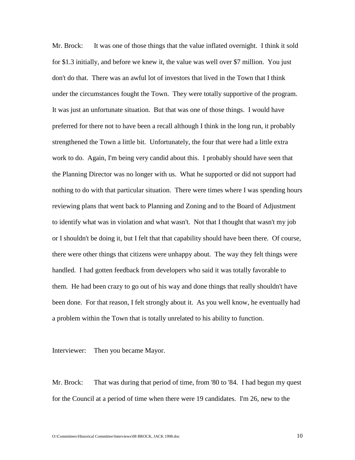Mr. Brock: It was one of those things that the value inflated overnight. I think it sold for \$1.3 initially, and before we knew it, the value was well over \$7 million. You just don't do that. There was an awful lot of investors that lived in the Town that I think under the circumstances fought the Town. They were totally supportive of the program. It was just an unfortunate situation. But that was one of those things. I would have preferred for there not to have been a recall although I think in the long run, it probably strengthened the Town a little bit. Unfortunately, the four that were had a little extra work to do. Again, I'm being very candid about this. I probably should have seen that the Planning Director was no longer with us. What he supported or did not support had nothing to do with that particular situation. There were times where I was spending hours reviewing plans that went back to Planning and Zoning and to the Board of Adjustment to identify what was in violation and what wasn't. Not that I thought that wasn't my job or I shouldn't be doing it, but I felt that that capability should have been there. Of course, there were other things that citizens were unhappy about. The way they felt things were handled. I had gotten feedback from developers who said it was totally favorable to them. He had been crazy to go out of his way and done things that really shouldn't have been done. For that reason, I felt strongly about it. As you well know, he eventually had a problem within the Town that is totally unrelated to his ability to function.

Interviewer: Then you became Mayor.

Mr. Brock: That was during that period of time, from '80 to '84. I had begun my quest for the Council at a period of time when there were 19 candidates. I'm 26, new to the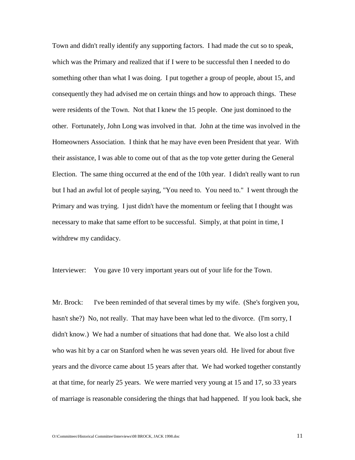Town and didn't really identify any supporting factors. I had made the cut so to speak, which was the Primary and realized that if I were to be successful then I needed to do something other than what I was doing. I put together a group of people, about 15, and consequently they had advised me on certain things and how to approach things. These were residents of the Town. Not that I knew the 15 people. One just dominoed to the other. Fortunately, John Long was involved in that. John at the time was involved in the Homeowners Association. I think that he may have even been President that year. With their assistance, I was able to come out of that as the top vote getter during the General Election. The same thing occurred at the end of the 10th year. I didn't really want to run but I had an awful lot of people saying, "You need to. You need to." I went through the Primary and was trying. I just didn't have the momentum or feeling that I thought was necessary to make that same effort to be successful. Simply, at that point in time, I withdrew my candidacy.

Interviewer: You gave 10 very important years out of your life for the Town.

Mr. Brock: I've been reminded of that several times by my wife. (She's forgiven you, hasn't she?) No, not really. That may have been what led to the divorce. (I'm sorry, I didn't know.) We had a number of situations that had done that. We also lost a child who was hit by a car on Stanford when he was seven years old. He lived for about five years and the divorce came about 15 years after that. We had worked together constantly at that time, for nearly 25 years. We were married very young at 15 and 17, so 33 years of marriage is reasonable considering the things that had happened. If you look back, she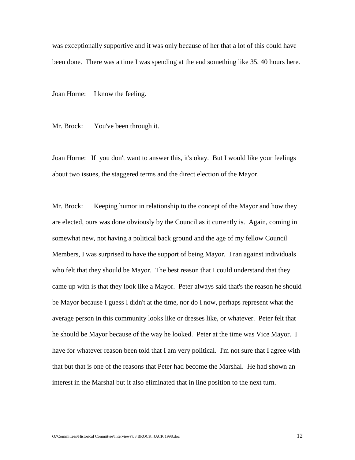was exceptionally supportive and it was only because of her that a lot of this could have been done. There was a time I was spending at the end something like 35, 40 hours here.

Joan Horne: I know the feeling.

Mr. Brock: You've been through it.

Joan Horne: If you don't want to answer this, it's okay. But I would like your feelings about two issues, the staggered terms and the direct election of the Mayor.

Mr. Brock: Keeping humor in relationship to the concept of the Mayor and how they are elected, ours was done obviously by the Council as it currently is. Again, coming in somewhat new, not having a political back ground and the age of my fellow Council Members, I was surprised to have the support of being Mayor. I ran against individuals who felt that they should be Mayor. The best reason that I could understand that they came up with is that they look like a Mayor. Peter always said that's the reason he should be Mayor because I guess I didn't at the time, nor do I now, perhaps represent what the average person in this community looks like or dresses like, or whatever. Peter felt that he should be Mayor because of the way he looked. Peter at the time was Vice Mayor. I have for whatever reason been told that I am very political. I'm not sure that I agree with that but that is one of the reasons that Peter had become the Marshal. He had shown an interest in the Marshal but it also eliminated that in line position to the next turn.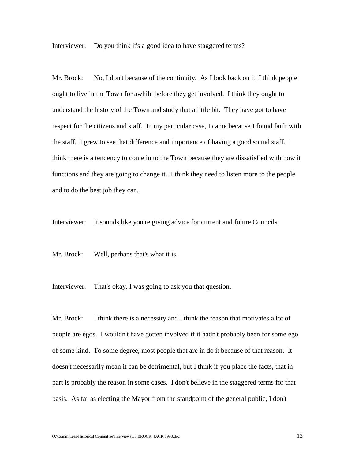Interviewer: Do you think it's a good idea to have staggered terms?

Mr. Brock: No, I don't because of the continuity. As I look back on it, I think people ought to live in the Town for awhile before they get involved. I think they ought to understand the history of the Town and study that a little bit. They have got to have respect for the citizens and staff. In my particular case, I came because I found fault with the staff. I grew to see that difference and importance of having a good sound staff. I think there is a tendency to come in to the Town because they are dissatisfied with how it functions and they are going to change it. I think they need to listen more to the people and to do the best job they can.

Interviewer: It sounds like you're giving advice for current and future Councils.

Mr. Brock: Well, perhaps that's what it is.

Interviewer: That's okay, I was going to ask you that question.

Mr. Brock: I think there is a necessity and I think the reason that motivates a lot of people are egos. I wouldn't have gotten involved if it hadn't probably been for some ego of some kind. To some degree, most people that are in do it because of that reason. It doesn't necessarily mean it can be detrimental, but I think if you place the facts, that in part is probably the reason in some cases. I don't believe in the staggered terms for that basis. As far as electing the Mayor from the standpoint of the general public, I don't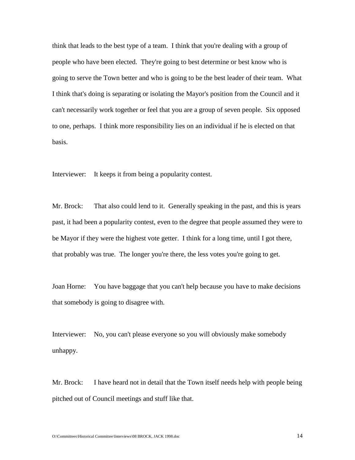think that leads to the best type of a team. I think that you're dealing with a group of people who have been elected. They're going to best determine or best know who is going to serve the Town better and who is going to be the best leader of their team. What I think that's doing is separating or isolating the Mayor's position from the Council and it can't necessarily work together or feel that you are a group of seven people. Six opposed to one, perhaps. I think more responsibility lies on an individual if he is elected on that basis.

Interviewer: It keeps it from being a popularity contest.

Mr. Brock: That also could lend to it. Generally speaking in the past, and this is years past, it had been a popularity contest, even to the degree that people assumed they were to be Mayor if they were the highest vote getter. I think for a long time, until I got there, that probably was true. The longer you're there, the less votes you're going to get.

Joan Horne: You have baggage that you can't help because you have to make decisions that somebody is going to disagree with.

Interviewer: No, you can't please everyone so you will obviously make somebody unhappy.

Mr. Brock: I have heard not in detail that the Town itself needs help with people being pitched out of Council meetings and stuff like that.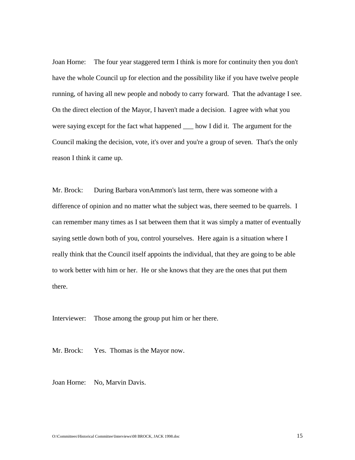Joan Horne: The four year staggered term I think is more for continuity then you don't have the whole Council up for election and the possibility like if you have twelve people running, of having all new people and nobody to carry forward. That the advantage I see. On the direct election of the Mayor, I haven't made a decision. I agree with what you were saying except for the fact what happened section I did it. The argument for the Council making the decision, vote, it's over and you're a group of seven. That's the only reason I think it came up.

Mr. Brock: During Barbara vonAmmon's last term, there was someone with a difference of opinion and no matter what the subject was, there seemed to be quarrels. I can remember many times as I sat between them that it was simply a matter of eventually saying settle down both of you, control yourselves. Here again is a situation where I really think that the Council itself appoints the individual, that they are going to be able to work better with him or her. He or she knows that they are the ones that put them there.

Interviewer: Those among the group put him or her there.

Mr. Brock: Yes. Thomas is the Mayor now.

Joan Horne: No, Marvin Davis.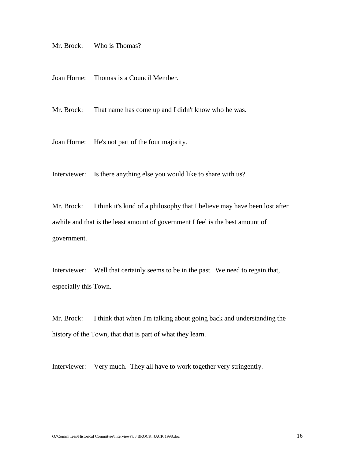Mr. Brock: Who is Thomas?

Joan Horne: Thomas is a Council Member.

Mr. Brock: That name has come up and I didn't know who he was.

Joan Horne: He's not part of the four majority.

Interviewer: Is there anything else you would like to share with us?

Mr. Brock: I think it's kind of a philosophy that I believe may have been lost after awhile and that is the least amount of government I feel is the best amount of government.

Interviewer: Well that certainly seems to be in the past. We need to regain that, especially this Town.

Mr. Brock: I think that when I'm talking about going back and understanding the history of the Town, that that is part of what they learn.

Interviewer: Very much. They all have to work together very stringently.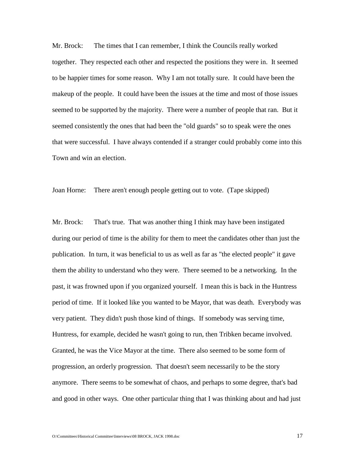Mr. Brock: The times that I can remember, I think the Councils really worked together. They respected each other and respected the positions they were in. It seemed to be happier times for some reason. Why I am not totally sure. It could have been the makeup of the people. It could have been the issues at the time and most of those issues seemed to be supported by the majority. There were a number of people that ran. But it seemed consistently the ones that had been the "old guards" so to speak were the ones that were successful. I have always contended if a stranger could probably come into this Town and win an election.

Joan Horne: There aren't enough people getting out to vote. (Tape skipped)

Mr. Brock: That's true. That was another thing I think may have been instigated during our period of time is the ability for them to meet the candidates other than just the publication. In turn, it was beneficial to us as well as far as "the elected people" it gave them the ability to understand who they were. There seemed to be a networking. In the past, it was frowned upon if you organized yourself. I mean this is back in the Huntress period of time. If it looked like you wanted to be Mayor, that was death. Everybody was very patient. They didn't push those kind of things. If somebody was serving time, Huntress, for example, decided he wasn't going to run, then Tribken became involved. Granted, he was the Vice Mayor at the time. There also seemed to be some form of progression, an orderly progression. That doesn't seem necessarily to be the story anymore. There seems to be somewhat of chaos, and perhaps to some degree, that's bad and good in other ways. One other particular thing that I was thinking about and had just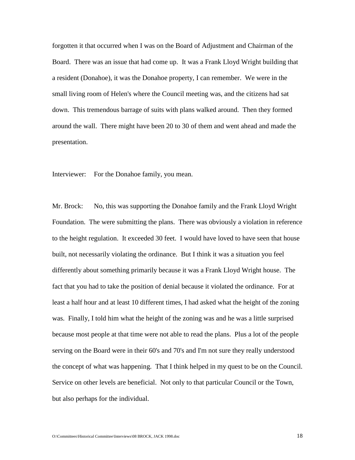forgotten it that occurred when I was on the Board of Adjustment and Chairman of the Board. There was an issue that had come up. It was a Frank Lloyd Wright building that a resident (Donahoe), it was the Donahoe property, I can remember. We were in the small living room of Helen's where the Council meeting was, and the citizens had sat down. This tremendous barrage of suits with plans walked around. Then they formed around the wall. There might have been 20 to 30 of them and went ahead and made the presentation.

Interviewer: For the Donahoe family, you mean.

Mr. Brock: No, this was supporting the Donahoe family and the Frank Lloyd Wright Foundation. The were submitting the plans. There was obviously a violation in reference to the height regulation. It exceeded 30 feet. I would have loved to have seen that house built, not necessarily violating the ordinance. But I think it was a situation you feel differently about something primarily because it was a Frank Lloyd Wright house. The fact that you had to take the position of denial because it violated the ordinance. For at least a half hour and at least 10 different times, I had asked what the height of the zoning was. Finally, I told him what the height of the zoning was and he was a little surprised because most people at that time were not able to read the plans. Plus a lot of the people serving on the Board were in their 60's and 70's and I'm not sure they really understood the concept of what was happening. That I think helped in my quest to be on the Council. Service on other levels are beneficial. Not only to that particular Council or the Town, but also perhaps for the individual.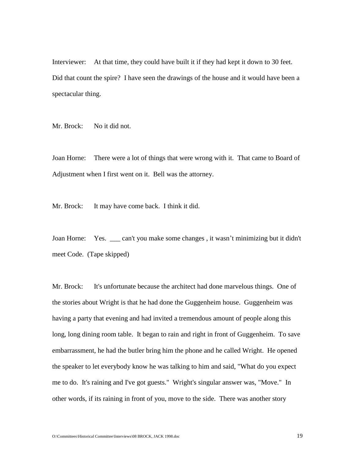Interviewer: At that time, they could have built it if they had kept it down to 30 feet. Did that count the spire? I have seen the drawings of the house and it would have been a spectacular thing.

Mr. Brock: No it did not.

Joan Horne: There were a lot of things that were wrong with it. That came to Board of Adjustment when I first went on it. Bell was the attorney.

Mr. Brock: It may have come back. I think it did.

Joan Horne: Yes. \_\_\_ can't you make some changes , it wasn't minimizing but it didn't meet Code. (Tape skipped)

Mr. Brock: It's unfortunate because the architect had done marvelous things. One of the stories about Wright is that he had done the Guggenheim house. Guggenheim was having a party that evening and had invited a tremendous amount of people along this long, long dining room table. It began to rain and right in front of Guggenheim. To save embarrassment, he had the butler bring him the phone and he called Wright. He opened the speaker to let everybody know he was talking to him and said, "What do you expect me to do. It's raining and I've got guests." Wright's singular answer was, "Move." In other words, if its raining in front of you, move to the side. There was another story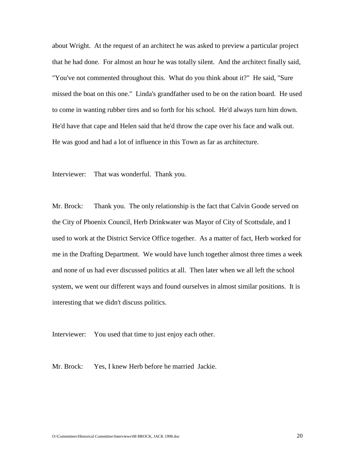about Wright. At the request of an architect he was asked to preview a particular project that he had done. For almost an hour he was totally silent. And the architect finally said, "You've not commented throughout this. What do you think about it?" He said, "Sure missed the boat on this one." Linda's grandfather used to be on the ration board. He used to come in wanting rubber tires and so forth for his school. He'd always turn him down. He'd have that cape and Helen said that he'd throw the cape over his face and walk out. He was good and had a lot of influence in this Town as far as architecture.

Interviewer: That was wonderful. Thank you.

Mr. Brock: Thank you. The only relationship is the fact that Calvin Goode served on the City of Phoenix Council, Herb Drinkwater was Mayor of City of Scottsdale, and I used to work at the District Service Office together. As a matter of fact, Herb worked for me in the Drafting Department. We would have lunch together almost three times a week and none of us had ever discussed politics at all. Then later when we all left the school system, we went our different ways and found ourselves in almost similar positions. It is interesting that we didn't discuss politics.

Interviewer: You used that time to just enjoy each other.

Mr. Brock: Yes, I knew Herb before he married Jackie.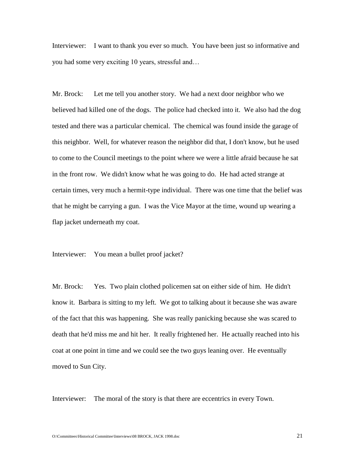Interviewer: I want to thank you ever so much. You have been just so informative and you had some very exciting 10 years, stressful and…

Mr. Brock: Let me tell you another story. We had a next door neighbor who we believed had killed one of the dogs. The police had checked into it. We also had the dog tested and there was a particular chemical. The chemical was found inside the garage of this neighbor. Well, for whatever reason the neighbor did that, I don't know, but he used to come to the Council meetings to the point where we were a little afraid because he sat in the front row. We didn't know what he was going to do. He had acted strange at certain times, very much a hermit-type individual. There was one time that the belief was that he might be carrying a gun. I was the Vice Mayor at the time, wound up wearing a flap jacket underneath my coat.

Interviewer: You mean a bullet proof jacket?

Mr. Brock: Yes. Two plain clothed policemen sat on either side of him. He didn't know it. Barbara is sitting to my left. We got to talking about it because she was aware of the fact that this was happening. She was really panicking because she was scared to death that he'd miss me and hit her. It really frightened her. He actually reached into his coat at one point in time and we could see the two guys leaning over. He eventually moved to Sun City.

Interviewer: The moral of the story is that there are eccentrics in every Town.